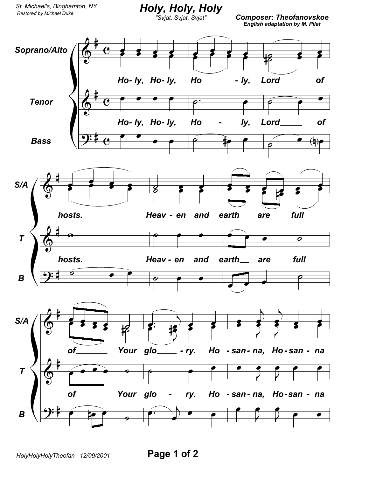St. Michael's, Binghamton, NY Restored by Michael Duke

Holy, Holy, Holy

**Composer: Theofanovskoe** English adaptation by M. Pilat